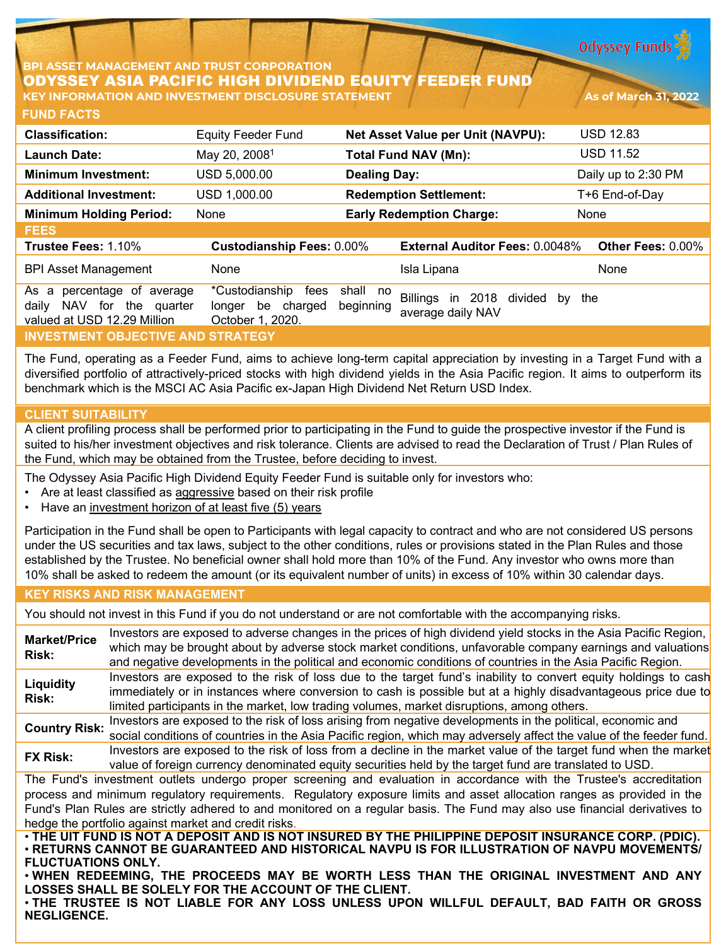**Odyssey Funds** 

### **BPI ASSET MANAGEMENT AND TRUST CORPORATION** ODYSSEY ASIA PACIFIC HIGH DIVIDEND EQUITY FEEDER FUND **KEY INFORMATION AND INVESTMENT DISCLOSURE STATEMENT As of March 31, 2022**

**FUND FACTS**

| <b>Classification:</b>                                                                                          | <b>Equity Feeder Fund</b>                                             | Net Asset Value per Unit (NAVPU):                                                               | <b>USD 12.83</b>    |  |  |
|-----------------------------------------------------------------------------------------------------------------|-----------------------------------------------------------------------|-------------------------------------------------------------------------------------------------|---------------------|--|--|
| Launch Date:                                                                                                    | May 20, 2008 <sup>1</sup>                                             | <b>Total Fund NAV (Mn):</b>                                                                     | <b>USD 11.52</b>    |  |  |
| <b>Minimum Investment:</b>                                                                                      | USD 5,000.00                                                          | <b>Dealing Day:</b>                                                                             | Daily up to 2:30 PM |  |  |
| <b>Additional Investment:</b>                                                                                   | USD 1,000.00                                                          | <b>Redemption Settlement:</b>                                                                   | T+6 End-of-Day      |  |  |
| <b>Minimum Holding Period:</b>                                                                                  | None                                                                  | <b>Early Redemption Charge:</b>                                                                 | None                |  |  |
| <b>FEES</b>                                                                                                     |                                                                       |                                                                                                 |                     |  |  |
| Trustee Fees: 1.10%                                                                                             | <b>Custodianship Fees: 0.00%</b>                                      | <b>External Auditor Fees: 0.0048%</b>                                                           | Other Fees: 0.00%   |  |  |
| <b>BPI Asset Management</b>                                                                                     | None                                                                  | Isla Lipana                                                                                     | None                |  |  |
| As<br>percentage of average<br>a<br>for<br><b>NAV</b><br>the<br>dailv<br>quarter<br>valued at USD 12.29 Million | *Custodianship<br>fees<br>charged<br>be<br>longer<br>October 1, 2020. | shall<br>no<br><b>Billings</b><br>2018<br>divided<br>in<br>by<br>beginning<br>average daily NAV | the                 |  |  |
| <b>INVESTMENT OBJECTIVE AND STRATEGY</b>                                                                        |                                                                       |                                                                                                 |                     |  |  |

The Fund, operating as a Feeder Fund, aims to achieve long-term capital appreciation by investing in a Target Fund with a diversified portfolio of attractively-priced stocks with high dividend yields in the Asia Pacific region. It aims to outperform its benchmark which is the MSCI AC Asia Pacific ex-Japan High Dividend Net Return USD Index.

# **CLIENT SUITABILITY**

A client profiling process shall be performed prior to participating in the Fund to guide the prospective investor if the Fund is suited to his/her investment objectives and risk tolerance. Clients are advised to read the Declaration of Trust / Plan Rules of the Fund, which may be obtained from the Trustee, before deciding to invest.

The Odyssey Asia Pacific High Dividend Equity Feeder Fund is suitable only for investors who:

- Are at least classified as aggressive based on their risk profile
- Have an investment horizon of at least five (5) years

Participation in the Fund shall be open to Participants with legal capacity to contract and who are not considered US persons under the US securities and tax laws, subject to the other conditions, rules or provisions stated in the Plan Rules and those established by the Trustee. No beneficial owner shall hold more than 10% of the Fund. Any investor who owns more than 10% shall be asked to redeem the amount (or its equivalent number of units) in excess of 10% within 30 calendar days.

#### **KEY RISKS AND RISK MANAGEMENT**

You should not invest in this Fund if you do not understand or are not comfortable with the accompanying risks.

**Market/Price Risk:** Investors are exposed to adverse changes in the prices of high dividend yield stocks in the Asia Pacific Region, which may be brought about by adverse stock market conditions, unfavorable company earnings and valuations and negative developments in the political and economic conditions of countries in the Asia Pacific Region. **Liquidity Risk:** Investors are exposed to the risk of loss due to the target fund's inability to convert equity holdings to cash immediately or in instances where conversion to cash is possible but at a highly disadvantageous price due to limited participants in the market, low trading volumes, market disruptions, among others. **Country Risk:** Investors are exposed to the risk of loss arising from negative developments in the political, economic and social conditions of countries in the Asia Pacific region, which may adversely affect the value of the feeder fund. **FX Risk:** Investors are exposed to the risk of loss from a decline in the market value of the target fund when the market value of foreign currency denominated equity securities held by the target fund are translated to USD. The Fund's investment outlets undergo proper screening and evaluation in accordance with the Trustee's accreditation process and minimum regulatory requirements. Regulatory exposure limits and asset allocation ranges as provided in the Fund's Plan Rules are strictly adhered to and monitored on a regular basis. The Fund may also use financial derivatives to hedge the portfolio against market and credit risks. . THE UIT FUND IS NOT A DEPOSIT AND IS NOT INSURED BY THE PHILIPPINE DEPOSIT INSURANCE CORP. (PDIC). • **RETURNS CANNOT BE GUARANTEED AND HISTORICAL NAVPU IS FOR ILLUSTRATION OF NAVPU MOVEMENTS/ FLUCTUATIONS ONLY.**

• **WHEN REDEEMING, THE PROCEEDS MAY BE WORTH LESS THAN THE ORIGINAL INVESTMENT AND ANY LOSSES SHALL BE SOLELY FOR THE ACCOUNT OF THE CLIENT.**

• **THE TRUSTEE IS NOT LIABLE FOR ANY LOSS UNLESS UPON WILLFUL DEFAULT, BAD FAITH OR GROSS NEGLIGENCE.**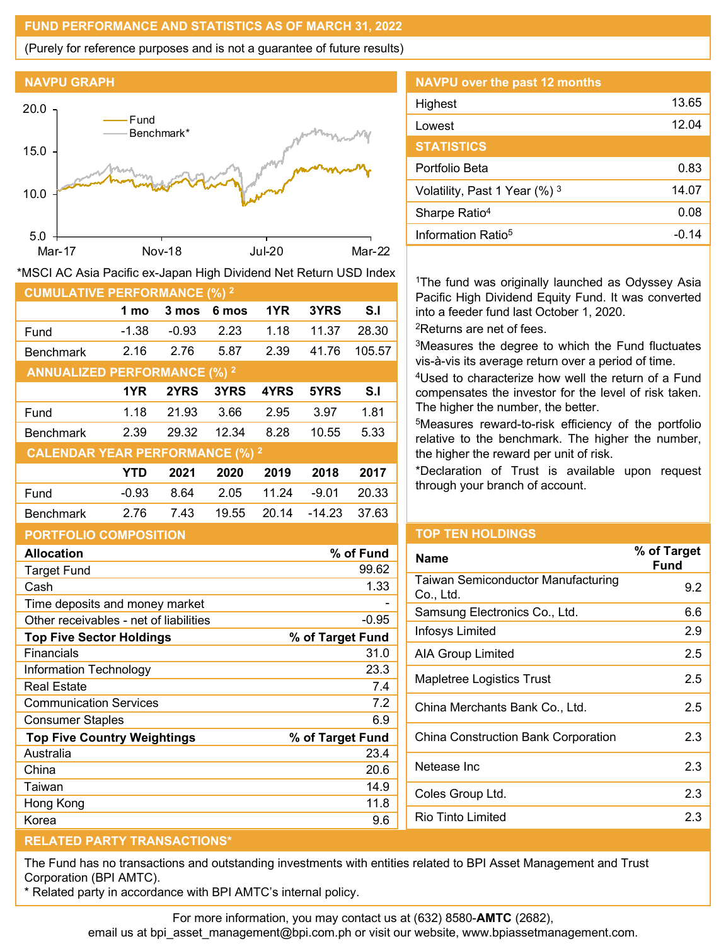### **FUND PERFORMANCE AND STATISTICS AS OF MARCH 31, 2022**

(Purely for reference purposes and is not a guarantee of future results)



Fund -1.38 -0.93 2.23 1.18 11.37 28.30 Benchmark 2.16 2.76 5.87 2.39 41.76 105.57

Fund 1.18 21.93 3.66 2.95 3.97 1.81 Benchmark 2.39 29.32 12.34 8.28 10.55 5.33

Fund -0.93 8.64 2.05 11.24 -9.01 20.33 Benchmark 2.76 7.43 19.55 20.14 -14.23 37.63

**1 mo 3 mos 6 mos 1YR 3YRS S.I**

**1YR 2YRS 3YRS 4YRS 5YRS S.I**

**YTD 2021 2020 2019 2018 2017**

| <b>NAVPU</b> over the past 12 months |       |
|--------------------------------------|-------|
| Highest                              | 13.65 |
| Lowest                               | 12.04 |
| <b>STATISTICS</b>                    |       |
| Portfolio Beta                       | 0.83  |
| Volatility, Past 1 Year (%) 3        | 14.07 |
| Sharpe Ratio <sup>4</sup>            | 0.08  |
| Information Ratio <sup>5</sup>       | -0 14 |

<sup>1</sup>The fund was originally launched as Odyssey Asia Pacific High Dividend Equity Fund. It was converted into a feeder fund last October 1, 2020.

2Returns are net of fees.

3Measures the degree to which the Fund fluctuates vis-à-vis its average return over a period of time.

4Used to characterize how well the return of a Fund compensates the investor for the level of risk taken. The higher the number, the better.

5Measures reward-to-risk efficiency of the portfolio relative to the benchmark. The higher the number, the higher the reward per unit of risk.

\*Declaration of Trust is available upon request through your branch of account.

# **PORTFOLIO COMPOSITION**

**CUMULATIVE PERFORMANCE (%) 2**

**ANNUALIZED PERFORMANCE (%) 2**

**CALENDAR YEAR PERFORMANCE (%) 2**

| <b>Allocation</b>                      | % of Fund        |
|----------------------------------------|------------------|
| <b>Target Fund</b>                     | 99.62            |
| Cash                                   | 1.33             |
| Time deposits and money market         |                  |
| Other receivables - net of liabilities | $-0.95$          |
| <b>Top Five Sector Holdings</b>        | % of Target Fund |
| Financials                             | 31.0             |
| Information Technology                 | 23.3             |
| <b>Real Estate</b>                     | 7.4              |
| <b>Communication Services</b>          | 7.2              |
| <b>Consumer Staples</b>                | 6.9              |
| <b>Top Five Country Weightings</b>     | % of Target Fund |
| Australia                              | 23.4             |
| China                                  | 20.6             |
| Taiwan                                 | 14.9             |
| Hong Kong                              | 11.8             |
| Korea                                  | 9.6              |

# **TOP TEN HOLDINGS**

| <b>Name</b>                                     | % of Target<br>Fund |
|-------------------------------------------------|---------------------|
| Taiwan Semiconductor Manufacturing<br>Co., Ltd. | 9.2                 |
| Samsung Electronics Co., Ltd.                   | 6.6                 |
| Infosys Limited                                 | 2.9                 |
| AIA Group Limited                               | 2.5                 |
| Mapletree Logistics Trust                       | 2.5                 |
| China Merchants Bank Co., Ltd.                  | 2.5                 |
| China Construction Bank Corporation             | 2.3                 |
| Netease Inc                                     | 2.3                 |
| Coles Group Ltd.                                | 2.3                 |
| Rio Tinto Limited                               | 2.3                 |
|                                                 |                     |

# **RELATED PARTY TRANSACTIONS\***

The Fund has no transactions and outstanding investments with entities related to BPI Asset Management and Trust Corporation (BPI AMTC).

\* Related party in accordance with BPI AMTC's internal policy.

For more information, you may contact us at (632) 8580-**AMTC** (2682),

email us at bpi\_asset\_management@bpi.com.ph or visit our website, www.bpiassetmanagement.com.